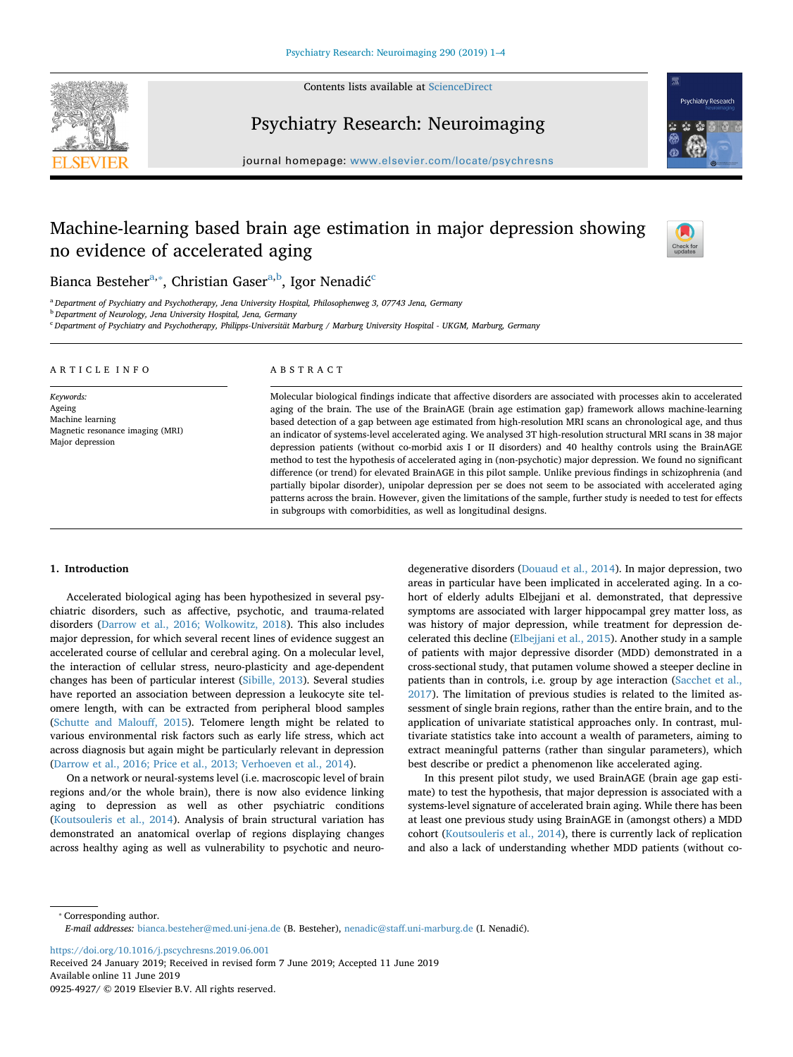

Contents lists available at [ScienceDirect](http://www.sciencedirect.com/science/journal/09254927)

## Psychiatry Research: Neuroimaging



journal homepage: [www.elsevier.com/locate/psychresns](https://www.elsevier.com/locate/psychresns)

# Machine-learning based brain age estimation in major depression showing no evidence of accelerated aging



Bi[a](#page-0-0)nca Besteher<sup>a,</sup>\*, Christian Gaser<sup>a[,b](#page-0-2)</sup>, Igor Nenadić<sup>[c](#page-0-3)</sup>

<span id="page-0-0"></span><sup>a</sup> *Department of Psychiatry and Psychotherapy, Jena University Hospital, Philosophenweg 3, 07743 Jena, Germany*

<span id="page-0-2"></span><sup>b</sup> *Department of Neurology, Jena University Hospital, Jena, Germany*

<span id="page-0-3"></span><sup>c</sup> *Department of Psychiatry and Psychotherapy, Philipps-Universität Marburg / Marburg University Hospital - UKGM, Marburg, Germany*

| ARTICLE INFO                                                                                    | ABSTRACT                                                                                                                                                                                                                                                                                                                                                                                                                                                                                                                                                                                                                                                                                                                                                                                                                                                                                                                                                                                                                                                       |
|-------------------------------------------------------------------------------------------------|----------------------------------------------------------------------------------------------------------------------------------------------------------------------------------------------------------------------------------------------------------------------------------------------------------------------------------------------------------------------------------------------------------------------------------------------------------------------------------------------------------------------------------------------------------------------------------------------------------------------------------------------------------------------------------------------------------------------------------------------------------------------------------------------------------------------------------------------------------------------------------------------------------------------------------------------------------------------------------------------------------------------------------------------------------------|
| Keywords:<br>Ageing<br>Machine learning<br>Magnetic resonance imaging (MRI)<br>Major depression | Molecular biological findings indicate that affective disorders are associated with processes akin to accelerated<br>aging of the brain. The use of the BrainAGE (brain age estimation gap) framework allows machine-learning<br>based detection of a gap between age estimated from high-resolution MRI scans an chronological age, and thus<br>an indicator of systems-level accelerated aging. We analysed 3T high-resolution structural MRI scans in 38 major<br>depression patients (without co-morbid axis I or II disorders) and 40 healthy controls using the BrainAGE<br>method to test the hypothesis of accelerated aging in (non-psychotic) major depression. We found no significant<br>difference (or trend) for elevated BrainAGE in this pilot sample. Unlike previous findings in schizophrenia (and<br>partially bipolar disorder), unipolar depression per se does not seem to be associated with accelerated aging<br>patterns across the brain. However, given the limitations of the sample, further study is needed to test for effects |

in subgroups with comorbidities, as well as longitudinal designs.

## **1. Introduction**

Accelerated biological aging has been hypothesized in several psychiatric disorders, such as affective, psychotic, and trauma-related disorders [\(Darrow et al., 2016; Wolkowitz, 2018](#page-3-0)). This also includes major depression, for which several recent lines of evidence suggest an accelerated course of cellular and cerebral aging. On a molecular level, the interaction of cellular stress, neuro-plasticity and age-dependent changes has been of particular interest [\(Sibille, 2013\)](#page-3-1). Several studies have reported an association between depression a leukocyte site telomere length, with can be extracted from peripheral blood samples ([Schutte and Malouff, 2015\)](#page-3-2). Telomere length might be related to various environmental risk factors such as early life stress, which act across diagnosis but again might be particularly relevant in depression ([Darrow et al., 2016; Price et al., 2013; Verhoeven et al., 2014\)](#page-3-0).

On a network or neural-systems level (i.e. macroscopic level of brain regions and/or the whole brain), there is now also evidence linking aging to depression as well as other psychiatric conditions ([Koutsouleris et al., 2014](#page-3-3)). Analysis of brain structural variation has demonstrated an anatomical overlap of regions displaying changes across healthy aging as well as vulnerability to psychotic and neurodegenerative disorders ([Douaud et al., 2014](#page-3-4)). In major depression, two areas in particular have been implicated in accelerated aging. In a cohort of elderly adults Elbejjani et al. demonstrated, that depressive symptoms are associated with larger hippocampal grey matter loss, as was history of major depression, while treatment for depression decelerated this decline [\(Elbejjani et al., 2015\)](#page-3-5). Another study in a sample of patients with major depressive disorder (MDD) demonstrated in a cross-sectional study, that putamen volume showed a steeper decline in patients than in controls, i.e. group by age interaction ([Sacchet et al.,](#page-3-6) [2017\)](#page-3-6). The limitation of previous studies is related to the limited assessment of single brain regions, rather than the entire brain, and to the application of univariate statistical approaches only. In contrast, multivariate statistics take into account a wealth of parameters, aiming to extract meaningful patterns (rather than singular parameters), which best describe or predict a phenomenon like accelerated aging.

In this present pilot study, we used BrainAGE (brain age gap estimate) to test the hypothesis, that major depression is associated with a systems-level signature of accelerated brain aging. While there has been at least one previous study using BrainAGE in (amongst others) a MDD cohort ([Koutsouleris et al., 2014\)](#page-3-3), there is currently lack of replication and also a lack of understanding whether MDD patients (without co-

<span id="page-0-1"></span>⁎ Corresponding author. *E-mail addresses:* [bianca.besteher@med.uni-jena.de](mailto:bianca.besteher@med.uni-jena.de) (B. Besteher), [nenadic@staff.uni-marburg.de](mailto:nenadic@staff.uni-marburg.de) (I. Nenadić).

<https://doi.org/10.1016/j.pscychresns.2019.06.001>

Received 24 January 2019; Received in revised form 7 June 2019; Accepted 11 June 2019 Available online 11 June 2019 0925-4927/ © 2019 Elsevier B.V. All rights reserved.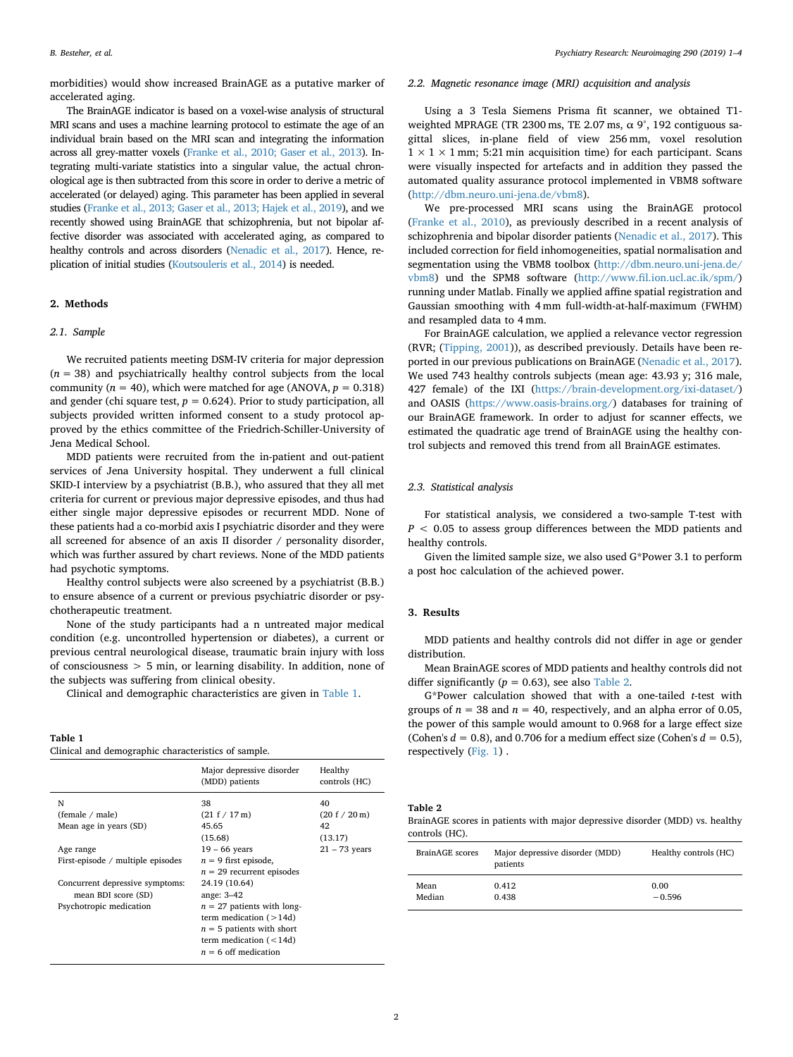morbidities) would show increased BrainAGE as a putative marker of accelerated aging.

The BrainAGE indicator is based on a voxel-wise analysis of structural MRI scans and uses a machine learning protocol to estimate the age of an individual brain based on the MRI scan and integrating the information across all grey-matter voxels ([Franke et al., 2010; Gaser et al., 2013\)](#page-3-7). Integrating multi-variate statistics into a singular value, the actual chronological age is then subtracted from this score in order to derive a metric of accelerated (or delayed) aging. This parameter has been applied in several studies ([Franke et al., 2013; Gaser et al., 2013; Hajek et al., 2019\)](#page-3-8), and we recently showed using BrainAGE that schizophrenia, but not bipolar affective disorder was associated with accelerated aging, as compared to healthy controls and across disorders [\(Nenadic et al., 2017\)](#page-3-9). Hence, replication of initial studies [\(Koutsouleris et al., 2014](#page-3-3)) is needed.

## **2. Methods**

#### *2.1. Sample*

We recruited patients meeting DSM-IV criteria for major depression  $(n = 38)$  and psychiatrically healthy control subjects from the local community ( $n = 40$ ), which were matched for age (ANOVA,  $p = 0.318$ ) and gender (chi square test,  $p = 0.624$ ). Prior to study participation, all subjects provided written informed consent to a study protocol approved by the ethics committee of the Friedrich-Schiller-University of Jena Medical School.

MDD patients were recruited from the in-patient and out-patient services of Jena University hospital. They underwent a full clinical SKID-I interview by a psychiatrist (B.B.), who assured that they all met criteria for current or previous major depressive episodes, and thus had either single major depressive episodes or recurrent MDD. None of these patients had a co-morbid axis I psychiatric disorder and they were all screened for absence of an axis II disorder / personality disorder, which was further assured by chart reviews. None of the MDD patients had psychotic symptoms.

Healthy control subjects were also screened by a psychiatrist (B.B.) to ensure absence of a current or previous psychiatric disorder or psychotherapeutic treatment.

None of the study participants had a n untreated major medical condition (e.g. uncontrolled hypertension or diabetes), a current or previous central neurological disease, traumatic brain injury with loss of consciousness > 5 min, or learning disability. In addition, none of the subjects was suffering from clinical obesity.

Clinical and demographic characteristics are given in [Table 1](#page-1-0).

<span id="page-1-0"></span>**Table 1**

| Clinical and demographic characteristics of sample. |  |  |
|-----------------------------------------------------|--|--|
|-----------------------------------------------------|--|--|

|                                                        | Major depressive disorder<br>(MDD) patients                                                                           | Healthy<br>controls (HC) |
|--------------------------------------------------------|-----------------------------------------------------------------------------------------------------------------------|--------------------------|
| N                                                      | 38                                                                                                                    | 40                       |
| (female / male)                                        | (21 f / 17 m)                                                                                                         | (20 f / 20 m)            |
| Mean age in years (SD)                                 | 45.65                                                                                                                 | 42                       |
|                                                        | (15.68)                                                                                                               | (13.17)                  |
| Age range                                              | $19 - 66$ years                                                                                                       | $21 - 73$ years          |
| First-episode / multiple episodes                      | $n = 9$ first episode,<br>$n = 29$ recurrent episodes                                                                 |                          |
| Concurrent depressive symptoms:<br>mean BDI score (SD) | 24.19 (10.64)<br>ange: 3-42                                                                                           |                          |
| Psychotropic medication                                | $n = 27$ patients with long-<br>term medication $($ > 14d)<br>$n = 5$ patients with short<br>term medication $(<14d)$ |                          |
|                                                        | $n = 6$ off medication                                                                                                |                          |

#### *2.2. Magnetic resonance image (MRI) acquisition and analysis*

Using a 3 Tesla Siemens Prisma fit scanner, we obtained T1 weighted MPRAGE (TR 2300 ms, TE 2.07 ms,  $\alpha$  9°, 192 contiguous sagittal slices, in-plane field of view 256 mm, voxel resolution  $1 \times 1 \times 1$  mm; 5:21 min acquisition time) for each participant. Scans were visually inspected for artefacts and in addition they passed the automated quality assurance protocol implemented in VBM8 software ([http://dbm.neuro.uni-jena.de/vbm8\)](http://dbm.neuro.uni-jena.de/vbm8).

We pre-processed MRI scans using the BrainAGE protocol ([Franke et al., 2010\)](#page-3-7), as previously described in a recent analysis of schizophrenia and bipolar disorder patients ([Nenadic et al., 2017](#page-3-9)). This included correction for field inhomogeneities, spatial normalisation and segmentation using the VBM8 toolbox [\(http://dbm.neuro.uni-jena.de/](http://dbm.neuro.uni-jena.de/vbm8) [vbm8](http://dbm.neuro.uni-jena.de/vbm8)) und the SPM8 software [\(http://www.fil.ion.ucl.ac.ik/spm/\)](http://www.fil.ion.ucl.ac.ik/spm/) running under Matlab. Finally we applied affine spatial registration and Gaussian smoothing with 4 mm full-width-at-half-maximum (FWHM) and resampled data to 4 mm.

For BrainAGE calculation, we applied a relevance vector regression (RVR; [\(Tipping, 2001](#page-3-10))), as described previously. Details have been reported in our previous publications on BrainAGE [\(Nenadic et al., 2017](#page-3-9)). We used 743 healthy controls subjects (mean age: 43.93 y; 316 male, 427 female) of the IXI [\(https://brain-development.org/ixi-dataset/\)](https://brain-development.org/ixi-dataset/) and OASIS (<https://www.oasis-brains.org/>) databases for training of our BrainAGE framework. In order to adjust for scanner effects, we estimated the quadratic age trend of BrainAGE using the healthy control subjects and removed this trend from all BrainAGE estimates.

#### *2.3. Statistical analysis*

For statistical analysis, we considered a two-sample T-test with *P* < 0.05 to assess group differences between the MDD patients and healthy controls.

Given the limited sample size, we also used G\*Power 3.1 to perform a post hoc calculation of the achieved power.

## **3. Results**

MDD patients and healthy controls did not differ in age or gender distribution.

Mean BrainAGE scores of MDD patients and healthy controls did not differ significantly ( $p = 0.63$ ), see also [Table 2.](#page-1-1)

G\*Power calculation showed that with a one-tailed *t*-test with groups of  $n = 38$  and  $n = 40$ , respectively, and an alpha error of 0.05, the power of this sample would amount to 0.968 for a large effect size (Cohen's  $d = 0.8$ ), and 0.706 for a medium effect size (Cohen's  $d = 0.5$ ), respectively [\(Fig. 1\)](#page-2-0) .

<span id="page-1-1"></span>**Table 2**

BrainAGE scores in patients with major depressive disorder (MDD) vs. healthy controls (HC).

| <b>BrainAGE</b> scores | Major depressive disorder (MDD)<br>patients | Healthy controls (HC) |
|------------------------|---------------------------------------------|-----------------------|
| Mean                   | 0.412                                       | 0.00                  |
| Median                 | 0.438                                       | $-0.596$              |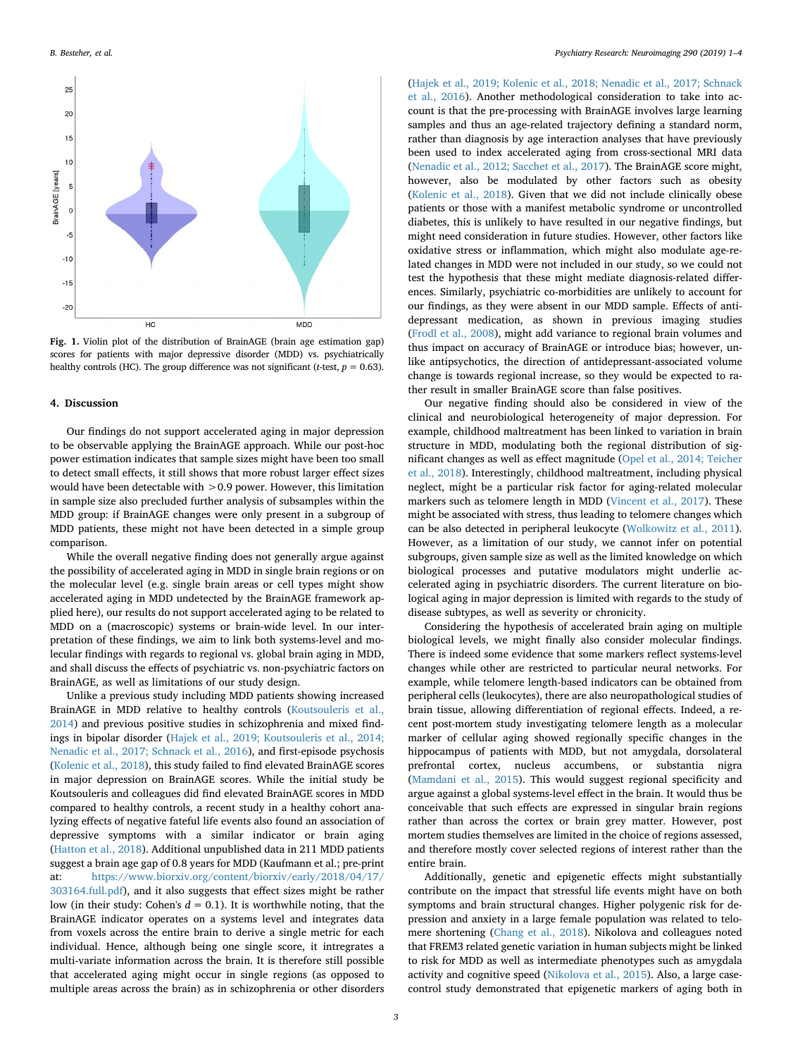<span id="page-2-0"></span>

**Fig. 1.** Violin plot of the distribution of BrainAGE (brain age estimation gap) scores for patients with major depressive disorder (MDD) vs. psychiatrically healthy controls (HC). The group difference was not significant (*t*-test,  $p = 0.63$ ).

#### **4. Discussion**

Our findings do not support accelerated aging in major depression to be observable applying the BrainAGE approach. While our post-hoc power estimation indicates that sample sizes might have been too small to detect small effects, it still shows that more robust larger effect sizes would have been detectable with >0.9 power. However, this limitation in sample size also precluded further analysis of subsamples within the MDD group: if BrainAGE changes were only present in a subgroup of MDD patients, these might not have been detected in a simple group comparison.

While the overall negative finding does not generally argue against the possibility of accelerated aging in MDD in single brain regions or on the molecular level (e.g. single brain areas or cell types might show accelerated aging in MDD undetected by the BrainAGE framework applied here), our results do not support accelerated aging to be related to MDD on a (macroscopic) systems or brain-wide level. In our interpretation of these findings, we aim to link both systems-level and molecular findings with regards to regional vs. global brain aging in MDD, and shall discuss the effects of psychiatric vs. non-psychiatric factors on BrainAGE, as well as limitations of our study design.

Unlike a previous study including MDD patients showing increased BrainAGE in MDD relative to healthy controls ([Koutsouleris et al.,](#page-3-3) [2014\)](#page-3-3) and previous positive studies in schizophrenia and mixed findings in bipolar disorder [\(Hajek et al., 2019; Koutsouleris et al., 2014;](#page-3-11) [Nenadic et al., 2017; Schnack et al., 2016](#page-3-11)), and first-episode psychosis ([Kolenic et al., 2018\)](#page-3-12), this study failed to find elevated BrainAGE scores in major depression on BrainAGE scores. While the initial study be Koutsouleris and colleagues did find elevated BrainAGE scores in MDD compared to healthy controls, a recent study in a healthy cohort analyzing effects of negative fateful life events also found an association of depressive symptoms with a similar indicator or brain aging ([Hatton et al., 2018\)](#page-3-13). Additional unpublished data in 211 MDD patients suggest a brain age gap of 0.8 years for MDD (Kaufmann et al.; pre-print at: [https://www.biorxiv.org/content/biorxiv/early/2018/04/17/](https://www.biorxiv.org/content/biorxiv/early/2018/04/17/303164.full.pdf) [303164.full.pdf](https://www.biorxiv.org/content/biorxiv/early/2018/04/17/303164.full.pdf)), and it also suggests that effect sizes might be rather low (in their study: Cohen's  $d = 0.1$ ). It is worthwhile noting, that the BrainAGE indicator operates on a systems level and integrates data from voxels across the entire brain to derive a single metric for each individual. Hence, although being one single score, it intregrates a multi-variate information across the brain. It is therefore still possible that accelerated aging might occur in single regions (as opposed to multiple areas across the brain) as in schizophrenia or other disorders ([Hajek et al., 2019; Kolenic et al., 2018; Nenadic et al., 2017; Schnack](#page-3-11) [et al., 2016](#page-3-11)). Another methodological consideration to take into account is that the pre-processing with BrainAGE involves large learning samples and thus an age-related trajectory defining a standard norm, rather than diagnosis by age interaction analyses that have previously been used to index accelerated aging from cross-sectional MRI data ([Nenadic et al., 2012; Sacchet et al., 2017](#page-3-14)). The BrainAGE score might, however, also be modulated by other factors such as obesity ([Kolenic et al., 2018](#page-3-12)). Given that we did not include clinically obese patients or those with a manifest metabolic syndrome or uncontrolled diabetes, this is unlikely to have resulted in our negative findings, but might need consideration in future studies. However, other factors like oxidative stress or inflammation, which might also modulate age-related changes in MDD were not included in our study, so we could not test the hypothesis that these might mediate diagnosis-related differences. Similarly, psychiatric co-morbidities are unlikely to account for our findings, as they were absent in our MDD sample. Effects of antidepressant medication, as shown in previous imaging studies ([Frodl et al., 2008](#page-3-15)), might add variance to regional brain volumes and thus impact on accuracy of BrainAGE or introduce bias; however, unlike antipsychotics, the direction of antidepressant-associated volume change is towards regional increase, so they would be expected to rather result in smaller BrainAGE score than false positives.

Our negative finding should also be considered in view of the clinical and neurobiological heterogeneity of major depression. For example, childhood maltreatment has been linked to variation in brain structure in MDD, modulating both the regional distribution of significant changes as well as effect magnitude ([Opel et al., 2014; Teicher](#page-3-16) [et al., 2018\)](#page-3-16). Interestingly, childhood maltreatment, including physical neglect, might be a particular risk factor for aging-related molecular markers such as telomere length in MDD ([Vincent et al., 2017](#page-3-17)). These might be associated with stress, thus leading to telomere changes which can be also detected in peripheral leukocyte ([Wolkowitz et al., 2011](#page-3-18)). However, as a limitation of our study, we cannot infer on potential subgroups, given sample size as well as the limited knowledge on which biological processes and putative modulators might underlie accelerated aging in psychiatric disorders. The current literature on biological aging in major depression is limited with regards to the study of disease subtypes, as well as severity or chronicity.

Considering the hypothesis of accelerated brain aging on multiple biological levels, we might finally also consider molecular findings. There is indeed some evidence that some markers reflect systems-level changes while other are restricted to particular neural networks. For example, while telomere length-based indicators can be obtained from peripheral cells (leukocytes), there are also neuropathological studies of brain tissue, allowing differentiation of regional effects. Indeed, a recent post-mortem study investigating telomere length as a molecular marker of cellular aging showed regionally specific changes in the hippocampus of patients with MDD, but not amygdala, dorsolateral prefrontal cortex, nucleus accumbens, or substantia nigra ([Mamdani et al., 2015\)](#page-3-19). This would suggest regional specificity and argue against a global systems-level effect in the brain. It would thus be conceivable that such effects are expressed in singular brain regions rather than across the cortex or brain grey matter. However, post mortem studies themselves are limited in the choice of regions assessed, and therefore mostly cover selected regions of interest rather than the entire brain.

Additionally, genetic and epigenetic effects might substantially contribute on the impact that stressful life events might have on both symptoms and brain structural changes. Higher polygenic risk for depression and anxiety in a large female population was related to telomere shortening [\(Chang et al., 2018](#page-3-20)). Nikolova and colleagues noted that FREM3 related genetic variation in human subjects might be linked to risk for MDD as well as intermediate phenotypes such as amygdala activity and cognitive speed [\(Nikolova et al., 2015](#page-3-21)). Also, a large casecontrol study demonstrated that epigenetic markers of aging both in